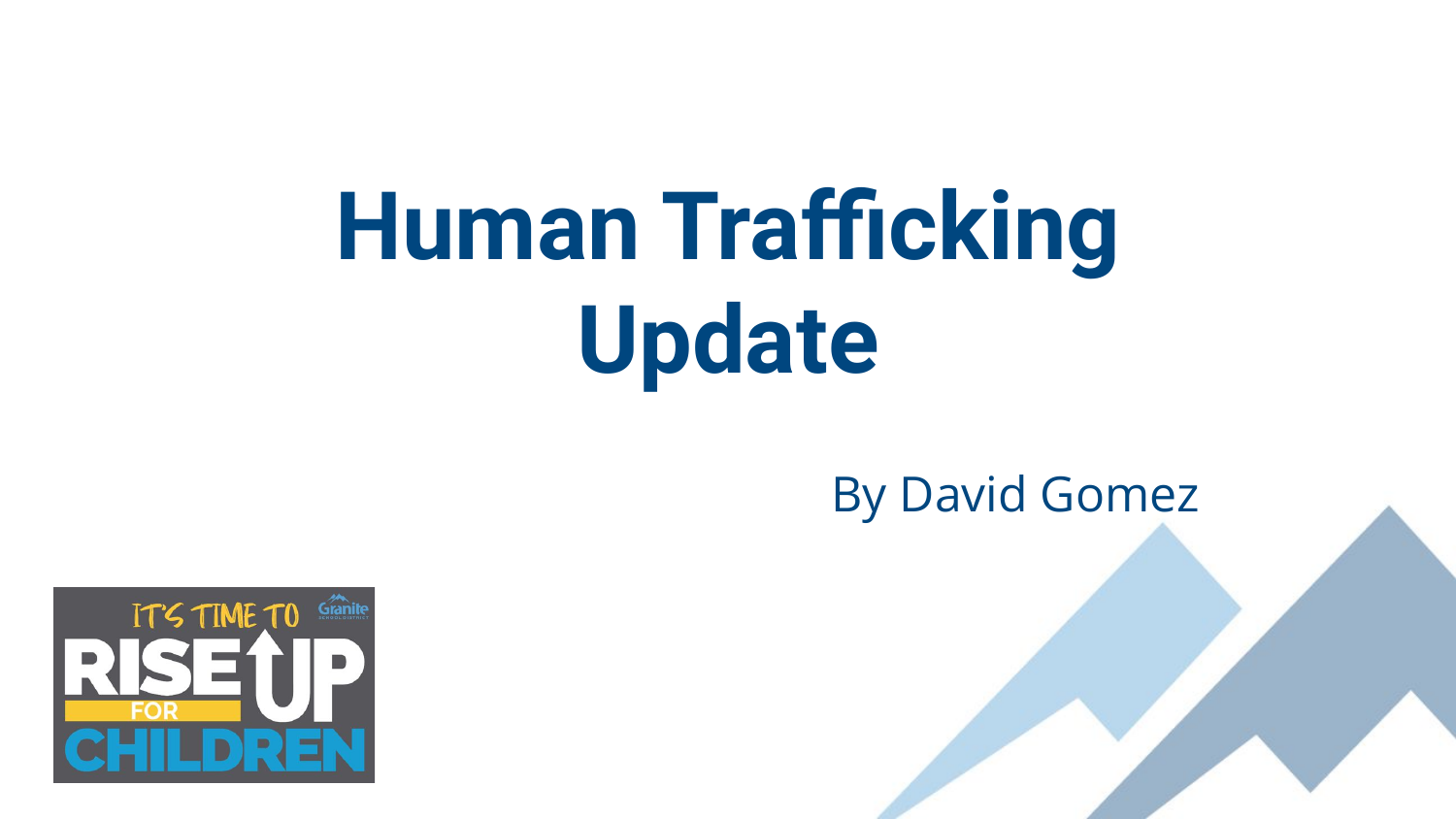# **Human Trafficking Update**

#### By David Gomez

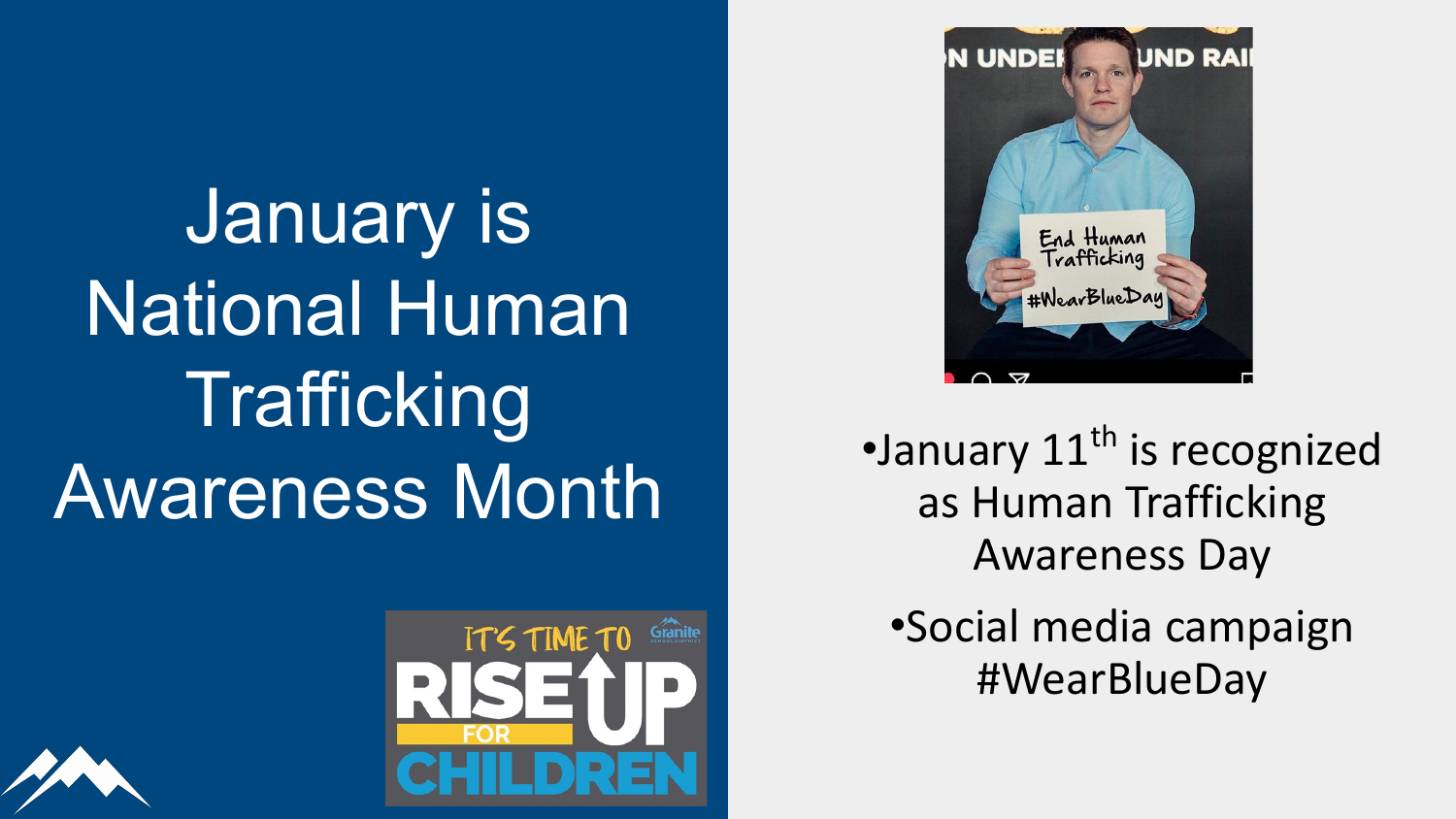

•January  $11<sup>th</sup>$  is recognized as Human Trafficking Awareness Day

•Social media campaign #WearBlueDay

January is National Human Trafficking Awareness Month



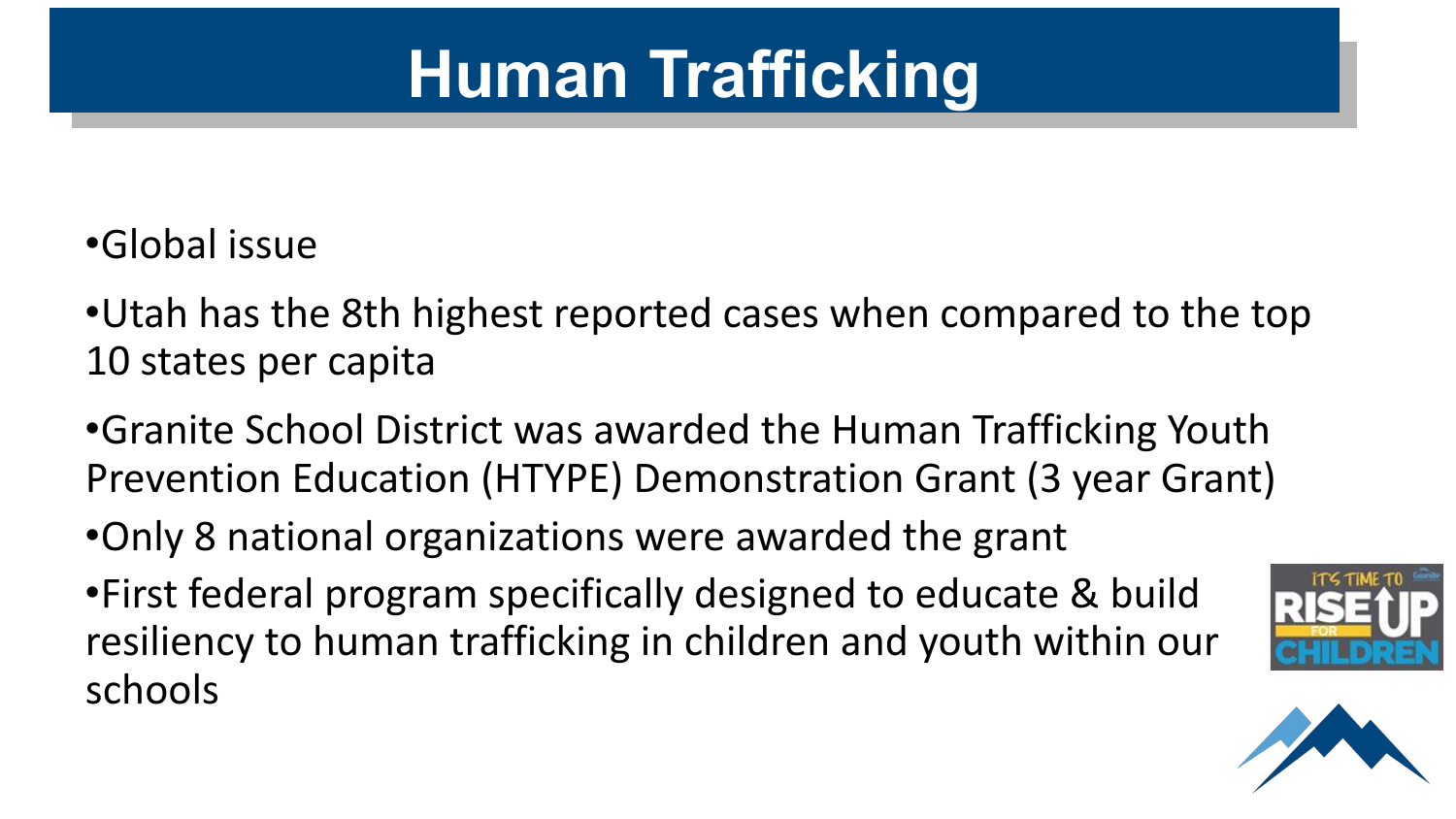## **Human Trafficking**

#### •Global issue

•Utah has the 8th highest reported cases when compared to the top 10 states per capita

•Granite School District was awarded the Human Trafficking Youth Prevention Education (HTYPE) Demonstration Grant (3 year Grant)

•Only 8 national organizations were awarded the grant

•First federal program specifically designed to educate & build resiliency to human trafficking in children and youth within our schools



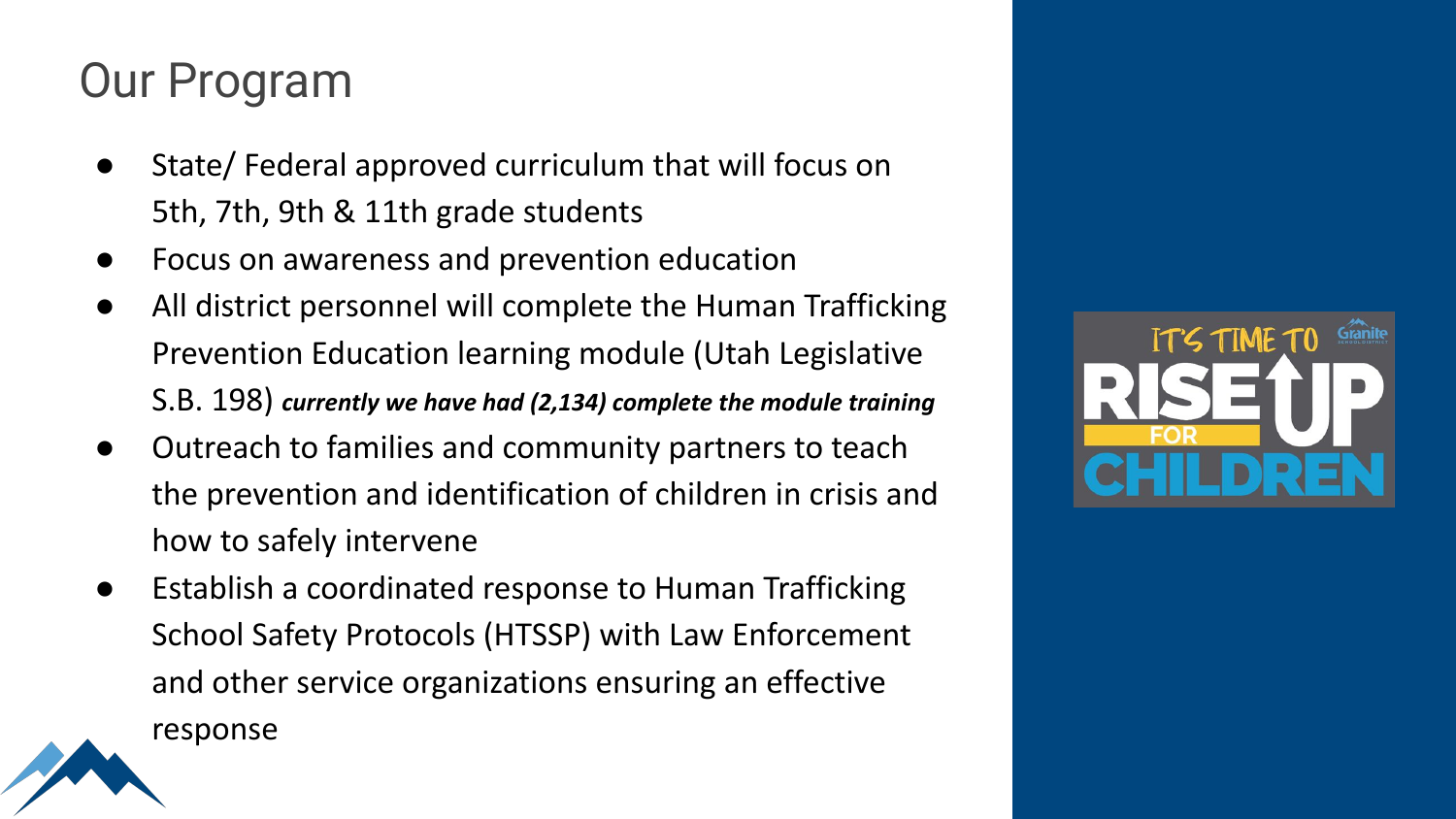#### Our Program

- State/ Federal approved curriculum that will focus on 5th, 7th, 9th & 11th grade students
- Focus on awareness and prevention education
- All district personnel will complete the Human Trafficking Prevention Education learning module (Utah Legislative S.B. 198) *currently we have had (2,134) complete the module training*
- Outreach to families and community partners to teach the prevention and identification of children in crisis and how to safely intervene
- Establish a coordinated response to Human Trafficking School Safety Protocols (HTSSP) with Law Enforcement and other service organizations ensuring an effective



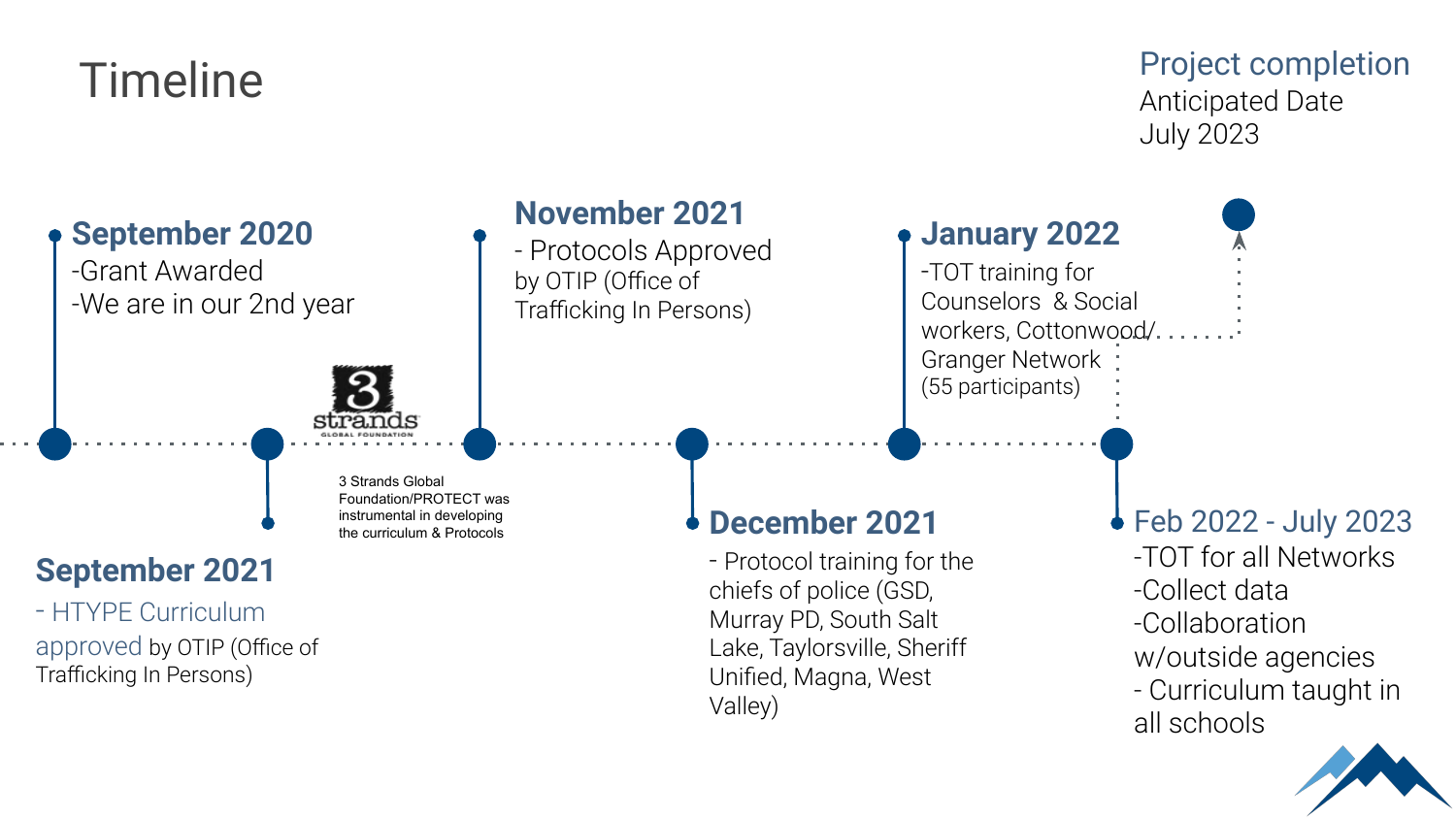### Timeline

#### Project completion Anticipated Date July 2023